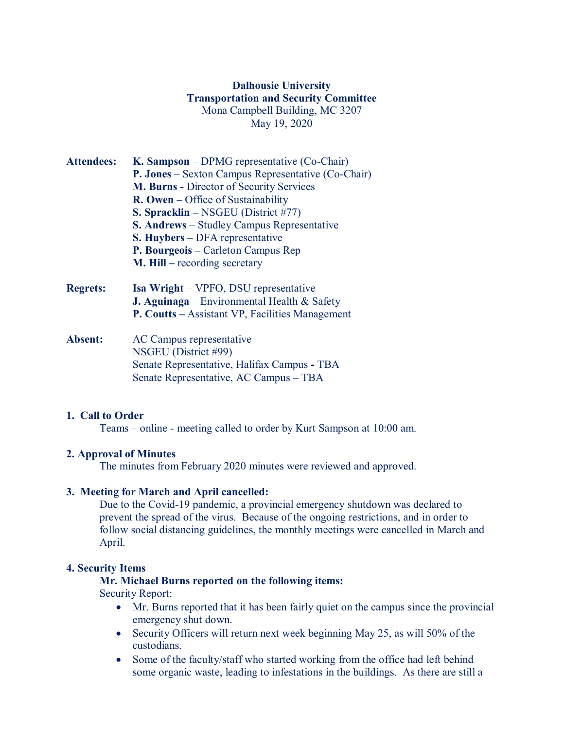# **Dalhousie University Transportation and Security Committee** Mona Campbell Building, MC 3207 May 19, 2020

| <b>Attendees:</b> | K. Sampson – DPMG representative (Co-Chair)           |
|-------------------|-------------------------------------------------------|
|                   | P. Jones – Sexton Campus Representative (Co-Chair)    |
|                   | <b>M. Burns - Director of Security Services</b>       |
|                   | $\mathbf{R}$ . Owen – Office of Sustainability        |
|                   | S. Spracklin - NSGEU (District #77)                   |
|                   | <b>S. Andrews</b> – Studley Campus Representative     |
|                   | <b>S. Huybers</b> – DFA representative                |
|                   | P. Bourgeois – Carleton Campus Rep                    |
|                   | <b>M. Hill</b> – recording secretary                  |
| <b>Regrets:</b>   | <b>Isa Wright</b> – VPFO, DSU representative          |
|                   | <b>J. Aguinaga</b> – Environmental Health $\&$ Safety |

**Absent:** AC Campus representative NSGEU (District #99) Senate Representative, Halifax Campus **-** TBA Senate Representative, AC Campus – TBA

## **1. Call to Order**

Teams – online - meeting called to order by Kurt Sampson at 10:00 am.

**P. Coutts –** Assistant VP, Facilities Management

#### **2. Approval of Minutes**

The minutes from February 2020 minutes were reviewed and approved.

#### **3. Meeting for March and April cancelled:**

Due to the Covid-19 pandemic, a provincial emergency shutdown was declared to prevent the spread of the virus. Because of the ongoing restrictions, and in order to follow social distancing guidelines, the monthly meetings were cancelled in March and April.

#### **4. Security Items**

#### **Mr. Michael Burns reported on the following items:**

### Security Report:

- Mr. Burns reported that it has been fairly quiet on the campus since the provincial emergency shut down.
- Security Officers will return next week beginning May 25, as will 50% of the custodians.
- Some of the faculty/staff who started working from the office had left behind some organic waste, leading to infestations in the buildings. As there are still a